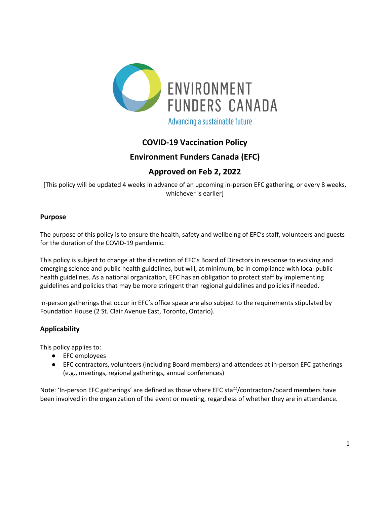

# **COVID-19 Vaccination Policy**

## **Environment Funders Canada (EFC)**

# **Approved on Feb 2, 2022**

[This policy will be updated 4 weeks in advance of an upcoming in-person EFC gathering, or every 8 weeks, whichever is earlier]

#### **Purpose**

The purpose of this policy is to ensure the health, safety and wellbeing of EFC's staff, volunteers and guests for the duration of the COVID-19 pandemic.

This policy is subject to change at the discretion of EFC's Board of Directors in response to evolving and emerging science and public health guidelines, but will, at minimum, be in compliance with local public health guidelines. As a national organization, EFC has an obligation to protect staff by implementing guidelines and policies that may be more stringent than regional guidelines and policies if needed.

In-person gatherings that occur in EFC's office space are also subject to the requirements stipulated by Foundation House (2 St. Clair Avenue East, Toronto, Ontario).

#### **Applicability**

This policy applies to:

- EFC employees
- EFC contractors, volunteers (including Board members) and attendees at in-person EFC gatherings (e.g., meetings, regional gatherings, annual conferences)

Note: 'In-person EFC gatherings' are defined as those where EFC staff/contractors/board members have been involved in the organization of the event or meeting, regardless of whether they are in attendance.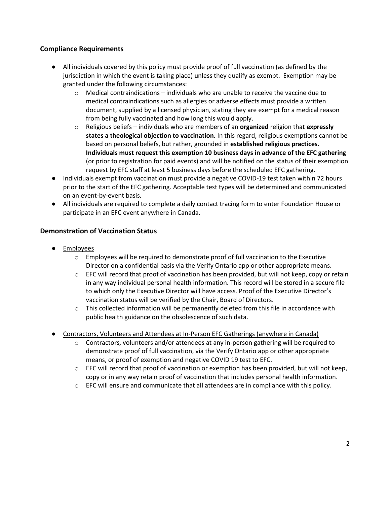### **Compliance Requirements**

- All individuals covered by this policy must provide proof of full vaccination (as defined by the jurisdiction in which the event is taking place) unless they qualify as exempt. Exemption may be granted under the following circumstances:
	- $\circ$  Medical contraindications individuals who are unable to receive the vaccine due to medical contraindications such as allergies or adverse effects must provide a written document, supplied by a licensed physician, stating they are exempt for a medical reason from being fully vaccinated and how long this would apply.
	- o Religious beliefs individuals who are members of an **organized** religion that **expressly states a theological objection to vaccination.** In this regard, religious exemptions cannot be based on personal beliefs, but rather, grounded in **established religious practices. Individuals must request this exemption 10 business days in advance of the EFC gathering** (or prior to registration for paid events) and will be notified on the status of their exemption request by EFC staff at least 5 business days before the scheduled EFC gathering.
- Individuals exempt from vaccination must provide a negative COVID-19 test taken within 72 hours prior to the start of the EFC gathering. Acceptable test types will be determined and communicated on an event-by-event basis.
- All individuals are required to complete a daily contact tracing form to enter Foundation House or participate in an EFC event anywhere in Canada.

### **Demonstration of Vaccination Status**

- **Employees** 
	- o Employees will be required to demonstrate proof of full vaccination to the Executive Director on a confidential basis via the Verify Ontario app or other appropriate means.
	- $\circ$  EFC will record that proof of vaccination has been provided, but will not keep, copy or retain in any way individual personal health information. This record will be stored in a secure file to which only the Executive Director will have access. Proof of the Executive Director's vaccination status will be verified by the Chair, Board of Directors.
	- o This collected information will be permanently deleted from this file in accordance with public health guidance on the obsolescence of such data.
- Contractors, Volunteers and Attendees at In-Person EFC Gatherings (anywhere in Canada)
	- $\circ$  Contractors, volunteers and/or attendees at any in-person gathering will be required to demonstrate proof of full vaccination, via the Verify Ontario app or other appropriate means, or proof of exemption and negative COVID 19 test to EFC.
	- $\circ$  EFC will record that proof of vaccination or exemption has been provided, but will not keep, copy or in any way retain proof of vaccination that includes personal health information.
	- $\circ$  EFC will ensure and communicate that all attendees are in compliance with this policy.